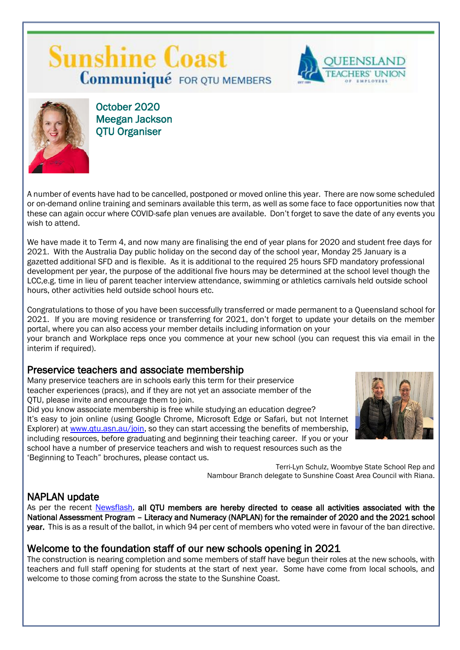# **Sunshine Coast Communiqué** FOR QTU MEMBERS





October 2020 Meegan Jackson QTU Organiser

A number of events have had to be cancelled, postponed or moved online this year. There are now some scheduled or on-demand online training and seminars available this term, as well as some face to face opportunities now that these can again occur where COVID-safe plan venues are available. Don't forget to save the date of any events you wish to attend.

We have made it to Term 4, and now many are finalising the end of year plans for 2020 and student free days for 2021. With the Australia Day public holiday on the second day of the school year, Monday 25 January is a gazetted additional SFD and is flexible. As it is additional to the required 25 hours SFD mandatory professional development per year, the purpose of the additional five hours may be determined at the school level though the LCC,e.g. time in lieu of parent teacher interview attendance, swimming or athletics carnivals held outside school hours, other activities held outside school hours etc.

Congratulations to those of you have been successfully transferred or made permanent to a Queensland school for 2021. If you are moving residence or transferring for 2021, don't forget to update your details on the member portal, where you can also access your member details including information on your your branch and Workplace reps once you commence at your new school (you can request this via email in the interim if required).

## Preservice teachers and associate membership

Many preservice teachers are in schools early this term for their preservice teacher experiences (pracs), and if they are not yet an associate member of the QTU, please invite and encourage them to join.

Did you know associate membership is free while studying an education degree? It's easy to join online (using Google Chrome, Microsoft Edge or Safari, but not Internet Explorer) at [www.qtu.asn.au/join,](http://www.qtu.asn.au/join) so they can start accessing the benefits of membership, including resources, before graduating and beginning their teaching career. If you or your school have a number of preservice teachers and wish to request resources such as the 'Beginning to Teach" brochures, please contact us.



Terri-Lyn Schulz, Woombye State School Rep and Nambour Branch delegate to Sunshine Coast Area Council with Riana.

## NAPLAN update

As per the recent [Newsflash,](https://www.qtu.asn.au/info-qtu/news/latest-news-slider/7-oct-2020-members-vote-ban-naplan) all QTU members are hereby directed to cease all activities associated with the National Assessment Program – Literacy and Numeracy (NAPLAN) for the remainder of 2020 and the 2021 school year. This is as a result of the ballot, in which 94 per cent of members who voted were in favour of the ban directive.

## Welcome to the foundation staff of our new schools opening in 2021

The construction is nearing completion and some members of staff have begun their roles at the new schools, with teachers and full staff opening for students at the start of next year. Some have come from local schools, and welcome to those coming from across the state to the Sunshine Coast.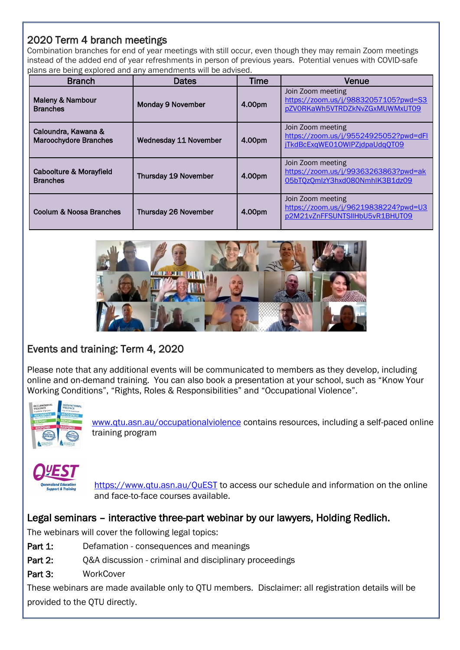## 2020 Term 4 branch meetings

Combination branches for end of year meetings with still occur, even though they may remain Zoom meetings instead of the added end of year refreshments in person of previous years. Potential venues with COVID-safe plans are being explored and any amendments will be advised.

| <b>Branch</b>                                       | Dates                        | <b>Time</b> | Venue                                                                                       |
|-----------------------------------------------------|------------------------------|-------------|---------------------------------------------------------------------------------------------|
| <b>Maleny &amp; Nambour</b><br><b>Branches</b>      | <b>Monday 9 November</b>     | 4.00pm      | Join Zoom meeting<br>https://zoom.us/j/98832057105?pwd=S3<br>pZVORKaWh5VTRDZkNvZGxMUWMxUT09 |
| Caloundra, Kawana &<br><b>Maroochydore Branches</b> | <b>Wednesday 11 November</b> | 4.00pm      | Join Zoom meeting<br>https://zoom.us/j/95524925052?pwd=dFl<br>jTkdBcExqWE010WIPZjdpaUdqQT09 |
| Caboolture & Morayfield<br><b>Branches</b>          | <b>Thursday 19 November</b>  | 4.00pm      | Join Zoom meeting<br>https://zoom.us/j/99363263863?pwd=ak<br>05bTQzQmlzY3hxd080NmhlK3B1dz09 |
| Coolum & Noosa Branches                             | <b>Thursday 26 November</b>  | 4.00pm      | Join Zoom meeting<br>https://zoom.us/j/96219838224?pwd=U3<br>p2M21vZnFFSUNTSIIHbU5vR1BHUT09 |



## Events and training: Term 4, 2020

Please note that any additional events will be communicated to members as they develop, including online and on-demand training. You can also book a presentation at your school, such as "Know Your Working Conditions", "Rights, Roles & Responsibilities" and "Occupational Violence".



[www.qtu.asn.au/occupationalviolence](http://www.qtu.asn.au/occupationalviolence) contains resources, including a self-paced online training program



<https://www.qtu.asn.au/QuEST> to access our schedule and information on the online and face-to-face courses available.

## Legal seminars – interactive three-part webinar by our lawyers, Holding Redlich.

The webinars will cover the following legal topics:

- Part 1: Defamation consequences and meanings
- Part 2: Q&A discussion criminal and disciplinary proceedings
- Part 3: WorkCover

These webinars are made available only to QTU members. Disclaimer: all registration details will be provided to the QTU directly.